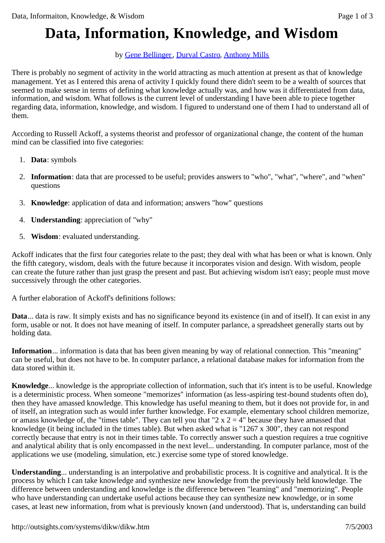## **Data, Information, Knowledge, and Wisdom**

## by Gene Bellinger, Durval Castro, Anthony Mills

There is probably no segment of activity in the world attracting as much attention at present as that of knowledge management. Yet as I entered this arena of activity I quickly found there didn't seem to be a wealth of sources that seemed to make sense in terms of defining what knowledge actually was, and how was it differentiated from data, information, and wisdom. What follows is the current level of understanding I have been able to piece together regarding data, information, knowledge, and wisdom. I figured to understand one of them I had to understand all of them.

According to Russell Ackoff, a systems theorist and professor of organizational change, the content of the human mind can be classified into five categories:

- 1. **Data**: symbols
- 2. **Information**: data that are processed to be useful; provides answers to "who", "what", "where", and "when" questions
- 3. **Knowledge**: application of data and information; answers "how" questions
- 4. **Understanding**: appreciation of "why"
- 5. **Wisdom**: evaluated understanding.

Ackoff indicates that the first four categories relate to the past; they deal with what has been or what is known. Only the fifth category, wisdom, deals with the future because it incorporates vision and design. With wisdom, people can create the future rather than just grasp the present and past. But achieving wisdom isn't easy; people must move successively through the other categories.

A further elaboration of Ackoff's definitions follows:

**Data**... data is raw. It simply exists and has no significance beyond its existence (in and of itself). It can exist in any form, usable or not. It does not have meaning of itself. In computer parlance, a spreadsheet generally starts out by holding data.

**Information**... information is data that has been given meaning by way of relational connection. This "meaning" can be useful, but does not have to be. In computer parlance, a relational database makes for information from the data stored within it.

**Knowledge**... knowledge is the appropriate collection of information, such that it's intent is to be useful. Knowledge is a deterministic process. When someone "memorizes" information (as less-aspiring test-bound students often do), then they have amassed knowledge. This knowledge has useful meaning to them, but it does not provide for, in and of itself, an integration such as would infer further knowledge. For example, elementary school children memorize, or amass knowledge of, the "times table". They can tell you that "2 x  $2 = 4$ " because they have amassed that knowledge (it being included in the times table). But when asked what is "1267 x 300", they can not respond correctly because that entry is not in their times table. To correctly answer such a question requires a true cognitive and analytical ability that is only encompassed in the next level... understanding. In computer parlance, most of the applications we use (modeling, simulation, etc.) exercise some type of stored knowledge.

**Understanding**... understanding is an interpolative and probabilistic process. It is cognitive and analytical. It is the process by which I can take knowledge and synthesize new knowledge from the previously held knowledge. The difference between understanding and knowledge is the difference between "learning" and "memorizing". People who have understanding can undertake useful actions because they can synthesize new knowledge, or in some cases, at least new information, from what is previously known (and understood). That is, understanding can build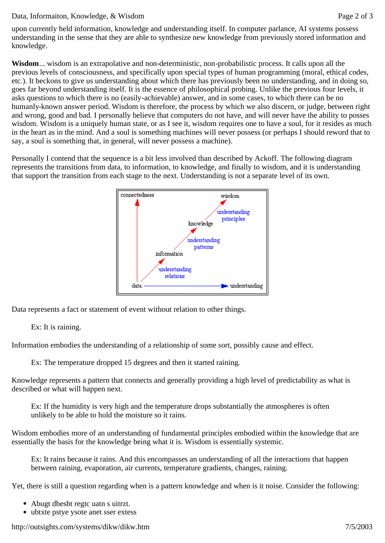## Data, Informaiton, Knowledge, & Wisdom Page 2 of 3

**Wisdom**... wisdom is an extrapolative and non-deterministic, non-probabilistic process. It calls upon all the previous levels of consciousness, and specifically upon special types of human programming (moral, ethical codes, etc.). It beckons to give us understanding about which there has previously been no understanding, and in doing so, goes far beyond understanding itself. It is the essence of philosophical probing. Unlike the previous four levels, it asks questions to which there is no (easily-achievable) answer, and in some cases, to which there can be no humanly-known answer period. Wisdom is therefore, the process by which we also discern, or judge, between right and wrong, good and bad. I personally believe that computers do not have, and will never have the ability to posses wisdom. Wisdom is a uniquely human state, or as I see it, wisdom requires one to have a soul, for it resides as much in the heart as in the mind. And a soul is something machines will never possess (or perhaps I should reword that to say, a soul is something that, in general, will never possess a machine).

Personally I contend that the sequence is a bit less involved than described by Ackoff. The following diagram represents the transitions from data, to information, to knowledge, and finally to wisdom, and it is understanding that support the transition from each stage to the next. Understanding is not a separate level of its own.



Data represents a fact or statement of event without relation to other things.

## Ex: It is raining.

Information embodies the understanding of a relationship of some sort, possibly cause and effect.

Ex: The temperature dropped 15 degrees and then it started raining.

Knowledge represents a pattern that connects and generally providing a high level of predictability as what is described or what will happen next.

Ex: If the humidity is very high and the temperature drops substantially the atmospheres is often unlikely to be able to hold the moisture so it rains.

Wisdom embodies more of an understanding of fundamental principles embodied within the knowledge that are essentially the basis for the knowledge being what it is. Wisdom is essentially systemic.

Ex: It rains because it rains. And this encompasses an understanding of all the interactions that happen between raining, evaporation, air currents, temperature gradients, changes, raining.

Yet, there is still a question regarding when is a pattern knowledge and when is it noise. Consider the following:

- Abugt dbesbt regtc uatn s uitrzt.
- ubtxte pstye ysote anet sser extess